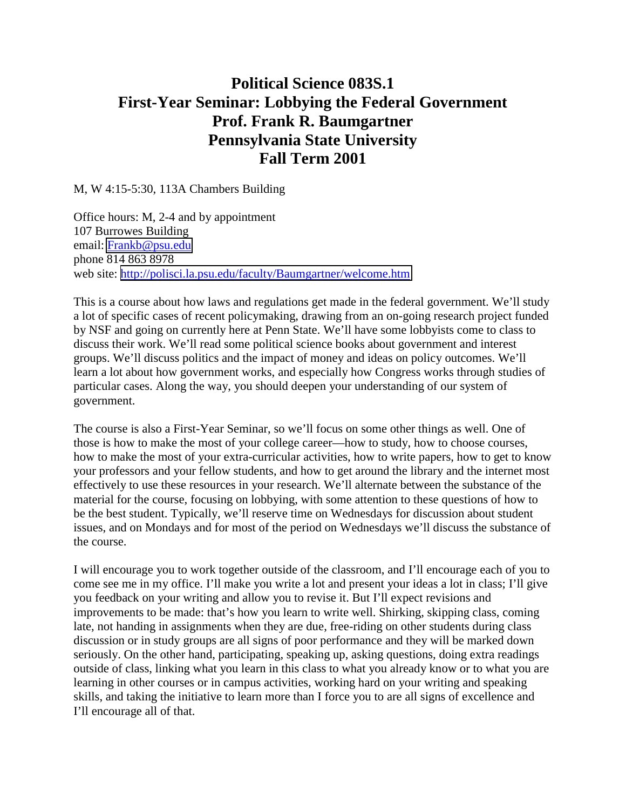## **Political Science 083S.1 First-Year Seminar: Lobbying the Federal Government Prof. Frank R. Baumgartner Pennsylvania State University Fall Term 2001**

M, W 4:15-5:30, 113A Chambers Building

Office hours: M, 2-4 and by appointment 107 Burrowes Building email: [Frankb@psu.edu](mailto:Frankb@psu.edu) phone 814 863 8978 web site: <http://polisci.la.psu.edu/faculty/Baumgartner/welcome.htm>

This is a course about how laws and regulations get made in the federal government. We'll study a lot of specific cases of recent policymaking, drawing from an on-going research project funded by NSF and going on currently here at Penn State. We'll have some lobbyists come to class to discuss their work. We'll read some political science books about government and interest groups. We'll discuss politics and the impact of money and ideas on policy outcomes. We'll learn a lot about how government works, and especially how Congress works through studies of particular cases. Along the way, you should deepen your understanding of our system of government.

The course is also a First-Year Seminar, so we'll focus on some other things as well. One of those is how to make the most of your college career—how to study, how to choose courses, how to make the most of your extra-curricular activities, how to write papers, how to get to know your professors and your fellow students, and how to get around the library and the internet most effectively to use these resources in your research. We'll alternate between the substance of the material for the course, focusing on lobbying, with some attention to these questions of how to be the best student. Typically, we'll reserve time on Wednesdays for discussion about student issues, and on Mondays and for most of the period on Wednesdays we'll discuss the substance of the course.

I will encourage you to work together outside of the classroom, and I'll encourage each of you to come see me in my office. I'll make you write a lot and present your ideas a lot in class; I'll give you feedback on your writing and allow you to revise it. But I'll expect revisions and improvements to be made: that's how you learn to write well. Shirking, skipping class, coming late, not handing in assignments when they are due, free-riding on other students during class discussion or in study groups are all signs of poor performance and they will be marked down seriously. On the other hand, participating, speaking up, asking questions, doing extra readings outside of class, linking what you learn in this class to what you already know or to what you are learning in other courses or in campus activities, working hard on your writing and speaking skills, and taking the initiative to learn more than I force you to are all signs of excellence and I'll encourage all of that.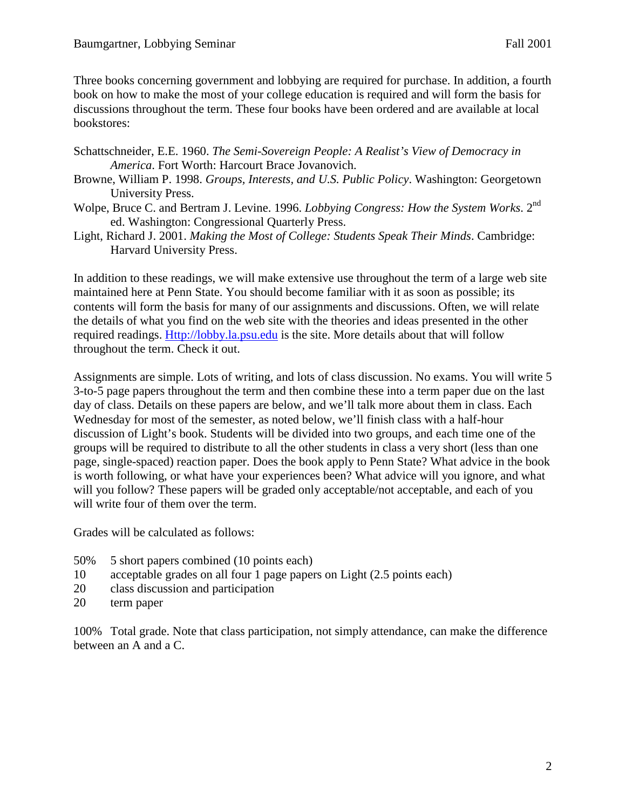Three books concerning government and lobbying are required for purchase. In addition, a fourth book on how to make the most of your college education is required and will form the basis for discussions throughout the term. These four books have been ordered and are available at local bookstores:

- Schattschneider, E.E. 1960. *The Semi-Sovereign People: A Realist's View of Democracy in America*. Fort Worth: Harcourt Brace Jovanovich.
- Browne, William P. 1998. *Groups, Interests, and U.S. Public Policy*. Washington: Georgetown University Press.
- Wolpe, Bruce C. and Bertram J. Levine. 1996. *Lobbying Congress: How the System Works*. 2<sup>nd</sup> ed. Washington: Congressional Quarterly Press.
- Light, Richard J. 2001. *Making the Most of College: Students Speak Their Minds*. Cambridge: Harvard University Press.

In addition to these readings, we will make extensive use throughout the term of a large web site maintained here at Penn State. You should become familiar with it as soon as possible; its contents will form the basis for many of our assignments and discussions. Often, we will relate the details of what you find on the web site with the theories and ideas presented in the other required readings. Http://lobby.la.psu.edu is the site. More details about that will follow throughout the term. Check it out.

Assignments are simple. Lots of writing, and lots of class discussion. No exams. You will write 5 3-to-5 page papers throughout the term and then combine these into a term paper due on the last day of class. Details on these papers are below, and we'll talk more about them in class. Each Wednesday for most of the semester, as noted below, we'll finish class with a half-hour discussion of Light's book. Students will be divided into two groups, and each time one of the groups will be required to distribute to all the other students in class a very short (less than one page, single-spaced) reaction paper. Does the book apply to Penn State? What advice in the book is worth following, or what have your experiences been? What advice will you ignore, and what will you follow? These papers will be graded only acceptable/not acceptable, and each of you will write four of them over the term.

Grades will be calculated as follows:

- 50% 5 short papers combined (10 points each)
- 10 acceptable grades on all four 1 page papers on Light (2.5 points each)
- 20 class discussion and participation
- 20 term paper

100% Total grade. Note that class participation, not simply attendance, can make the difference between an A and a C.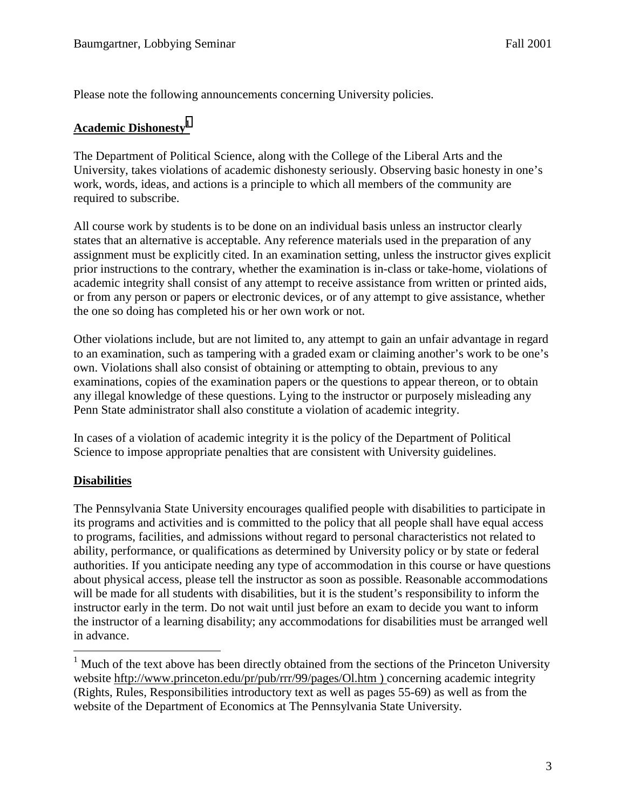Please note the following announcements concerning University policies.

## **Academic Dishonesty<sup>1</sup>**

The Department of Political Science, along with the College of the Liberal Arts and the University, takes violations of academic dishonesty seriously. Observing basic honesty in one's work, words, ideas, and actions is a principle to which all members of the community are required to subscribe.

All course work by students is to be done on an individual basis unless an instructor clearly states that an alternative is acceptable. Any reference materials used in the preparation of any assignment must be explicitly cited. In an examination setting, unless the instructor gives explicit prior instructions to the contrary, whether the examination is in-class or take-home, violations of academic integrity shall consist of any attempt to receive assistance from written or printed aids, or from any person or papers or electronic devices, or of any attempt to give assistance, whether the one so doing has completed his or her own work or not.

Other violations include, but are not limited to, any attempt to gain an unfair advantage in regard to an examination, such as tampering with a graded exam or claiming another's work to be one's own. Violations shall also consist of obtaining or attempting to obtain, previous to any examinations, copies of the examination papers or the questions to appear thereon, or to obtain any illegal knowledge of these questions. Lying to the instructor or purposely misleading any Penn State administrator shall also constitute a violation of academic integrity.

In cases of a violation of academic integrity it is the policy of the Department of Political Science to impose appropriate penalties that are consistent with University guidelines.

## **Disabilities**

 $\overline{a}$ 

The Pennsylvania State University encourages qualified people with disabilities to participate in its programs and activities and is committed to the policy that all people shall have equal access to programs, facilities, and admissions without regard to personal characteristics not related to ability, performance, or qualifications as determined by University policy or by state or federal authorities. If you anticipate needing any type of accommodation in this course or have questions about physical access, please tell the instructor as soon as possible. Reasonable accommodations will be made for all students with disabilities, but it is the student's responsibility to inform the instructor early in the term. Do not wait until just before an exam to decide you want to inform the instructor of a learning disability; any accommodations for disabilities must be arranged well in advance.

<sup>&</sup>lt;sup>1</sup> Much of the text above has been directly obtained from the sections of the Princeton University website hftp://www.princeton.edu/pr/pub/rrr/99/pages/Ol.htm ) concerning academic integrity (Rights, Rules, Responsibilities introductory text as well as pages 55-69) as well as from the website of the Department of Economics at The Pennsylvania State University.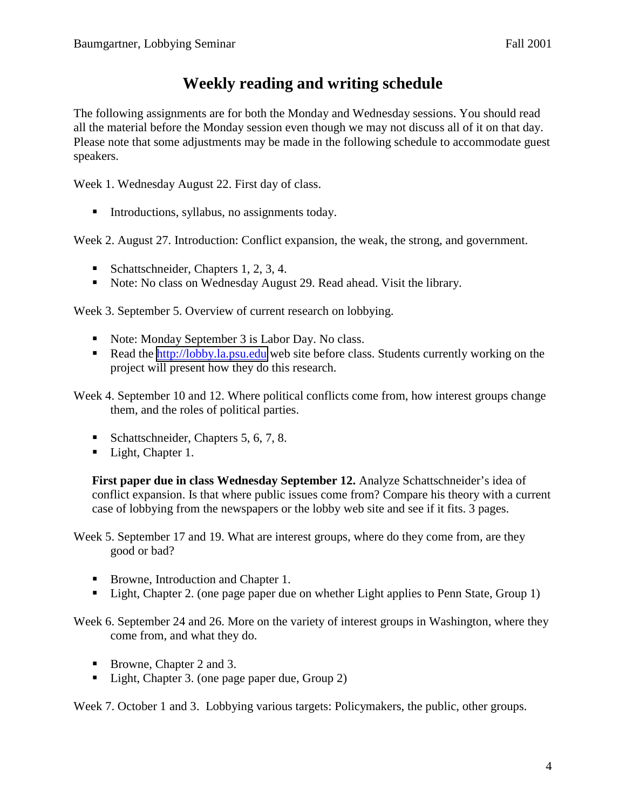## **Weekly reading and writing schedule**

The following assignments are for both the Monday and Wednesday sessions. You should read all the material before the Monday session even though we may not discuss all of it on that day. Please note that some adjustments may be made in the following schedule to accommodate guest speakers.

Week 1. Wednesday August 22. First day of class.

■ Introductions, syllabus, no assignments today.

Week 2. August 27. Introduction: Conflict expansion, the weak, the strong, and government.

- Schattschneider, Chapters 1, 2, 3, 4.
- Note: No class on Wednesday August 29. Read ahead. Visit the library.

Week 3. September 5. Overview of current research on lobbying.

- Note: Monday September 3 is Labor Day. No class.
- Read the [http://lobby.la.psu.edu](http://lobby.la.psu.edu/) web site before class. Students currently working on the project will present how they do this research.

Week 4. September 10 and 12. Where political conflicts come from, how interest groups change them, and the roles of political parties.

- Schattschneider, Chapters 5, 6, 7, 8.
- Light, Chapter 1.

**First paper due in class Wednesday September 12.** Analyze Schattschneider's idea of conflict expansion. Is that where public issues come from? Compare his theory with a current case of lobbying from the newspapers or the lobby web site and see if it fits. 3 pages.

Week 5. September 17 and 19. What are interest groups, where do they come from, are they good or bad?

- Browne, Introduction and Chapter 1.
- Light, Chapter 2. (one page paper due on whether Light applies to Penn State, Group 1)

Week 6. September 24 and 26. More on the variety of interest groups in Washington, where they come from, and what they do.

- Browne, Chapter 2 and 3.
- Light, Chapter 3. (one page paper due, Group 2)

Week 7. October 1 and 3. Lobbying various targets: Policymakers, the public, other groups.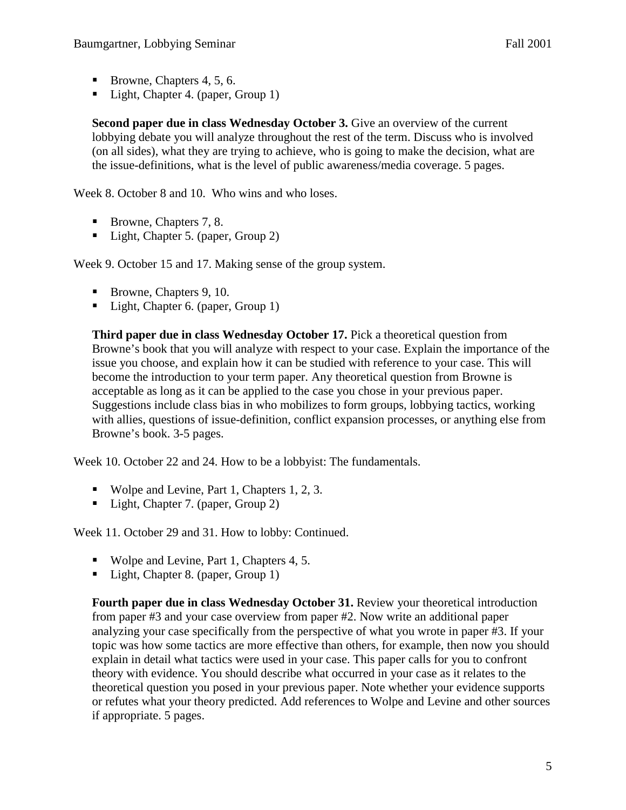- Browne, Chapters 4, 5, 6.
- Light, Chapter 4. (paper, Group 1)

**Second paper due in class Wednesday October 3.** Give an overview of the current lobbying debate you will analyze throughout the rest of the term. Discuss who is involved (on all sides), what they are trying to achieve, who is going to make the decision, what are the issue-definitions, what is the level of public awareness/media coverage. 5 pages.

Week 8. October 8 and 10. Who wins and who loses.

- Browne, Chapters 7, 8.
- Light, Chapter 5. (paper, Group 2)

Week 9. October 15 and 17. Making sense of the group system.

- Browne, Chapters 9, 10.
- Light, Chapter 6. (paper, Group 1)

**Third paper due in class Wednesday October 17.** Pick a theoretical question from Browne's book that you will analyze with respect to your case. Explain the importance of the issue you choose, and explain how it can be studied with reference to your case. This will become the introduction to your term paper. Any theoretical question from Browne is acceptable as long as it can be applied to the case you chose in your previous paper. Suggestions include class bias in who mobilizes to form groups, lobbying tactics, working with allies, questions of issue-definition, conflict expansion processes, or anything else from Browne's book. 3-5 pages.

Week 10. October 22 and 24. How to be a lobbyist: The fundamentals.

- Wolpe and Levine, Part 1, Chapters 1, 2, 3.
- Light, Chapter 7. (paper, Group 2)

Week 11. October 29 and 31. How to lobby: Continued.

- Wolpe and Levine, Part 1, Chapters 4, 5.
- Light, Chapter 8. (paper, Group 1)

**Fourth paper due in class Wednesday October 31.** Review your theoretical introduction from paper #3 and your case overview from paper #2. Now write an additional paper analyzing your case specifically from the perspective of what you wrote in paper #3. If your topic was how some tactics are more effective than others, for example, then now you should explain in detail what tactics were used in your case. This paper calls for you to confront theory with evidence. You should describe what occurred in your case as it relates to the theoretical question you posed in your previous paper. Note whether your evidence supports or refutes what your theory predicted. Add references to Wolpe and Levine and other sources if appropriate. 5 pages.